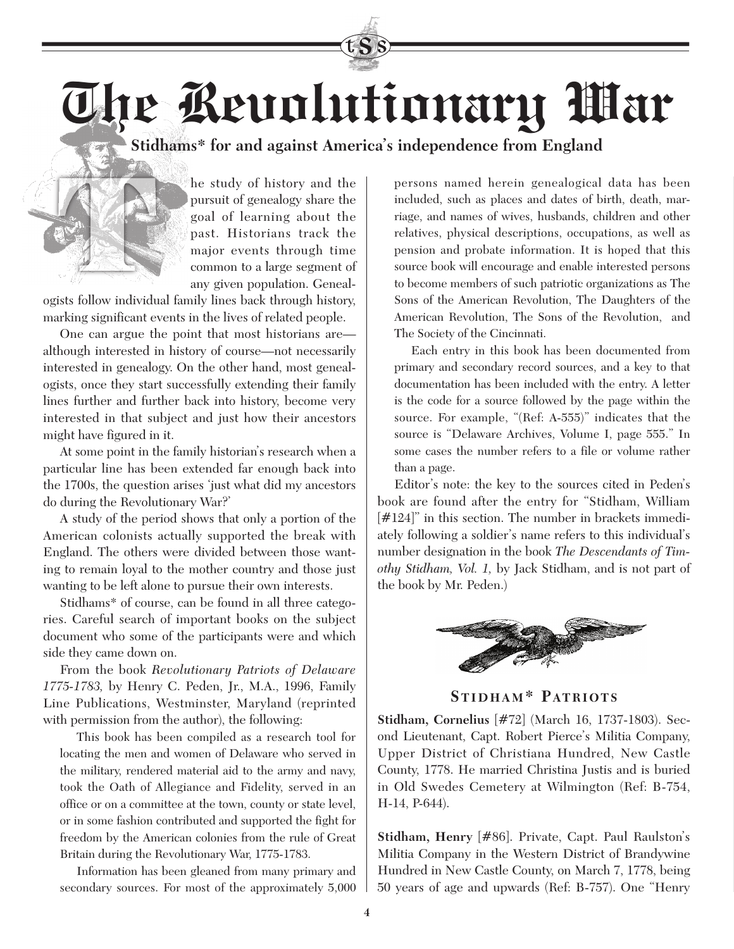**The Revolutionary War**

**Stidhams\* for and against America's independence from England**



he study of history and the pursuit of genealogy share the goal of learning about the past. Historians track the major events through time common to a large segment of any given population. Geneal-

ogists follow individual family lines back through history, marking significant events in the lives of related people.

One can argue the point that most historians are although interested in history of course—not necessarily interested in genealogy. On the other hand, most genealogists, once they start successfully extending their family lines further and further back into history, become very interested in that subject and just how their ancestors might have figured in it.

At some point in the family historian's research when a particular line has been extended far enough back into the 1700s, the question arises 'just what did my ancestors do during the Revolutionary War?'

A study of the period shows that only a portion of the American colonists actually supported the break with England. The others were divided between those wanting to remain loyal to the mother country and those just wanting to be left alone to pursue their own interests.

Stidhams\* of course, can be found in all three categories. Careful search of important books on the subject document who some of the participants were and which side they came down on.

From the book *Revolutionary Patriots of Delaware 1775-1783,* by Henry C. Peden, Jr., M.A., 1996, Family Line Publications, Westminster, Maryland (reprinted with permission from the author), the following:

This book has been compiled as a research tool for locating the men and women of Delaware who served in the military, rendered material aid to the army and navy, took the Oath of Allegiance and Fidelity, served in an office or on a committee at the town, county or state level, or in some fashion contributed and supported the fight for freedom by the American colonies from the rule of Great Britain during the Revolutionary War, 1775-1783.

Information has been gleaned from many primary and secondary sources. For most of the approximately 5,000 persons named herein genealogical data has been included, such as places and dates of birth, death, marriage, and names of wives, husbands, children and other relatives, physical descriptions, occupations, as well as pension and probate information. It is hoped that this source book will encourage and enable interested persons to become members of such patriotic organizations as The Sons of the American Revolution, The Daughters of the American Revolution, The Sons of the Revolution, and The Society of the Cincinnati.

Each entry in this book has been documented from primary and secondary record sources, and a key to that documentation has been included with the entry. A letter is the code for a source followed by the page within the source. For example, "(Ref: A-555)" indicates that the source is "Delaware Archives, Volume I, page 555." In some cases the number refers to a file or volume rather than a page.

Editor's note: the key to the sources cited in Peden's book are found after the entry for "Stidham, William [#124]" in this section. The number in brackets immediately following a soldier's name refers to this individual's number designation in the book *The Descendants of Timothy Stidham, Vol. 1,* by Jack Stidham, and is not part of the book by Mr. Peden.)



STIDHAM\* PATRIOTS

**Stidham, Cornelius** [#72] (March 16, 1737-1803). Second Lieutenant, Capt. Robert Pierce's Militia Company, Upper District of Christiana Hundred, New Castle County, 1778. He married Christina Justis and is buried in Old Swedes Cemetery at Wilmington (Ref: B-754, H-14, P-644).

**Stidham, Henry** [#86]. Private, Capt. Paul Raulston's Militia Company in the Western District of Brandywine Hundred in New Castle County, on March 7, 1778, being 50 years of age and upwards (Ref: B-757). One "Henry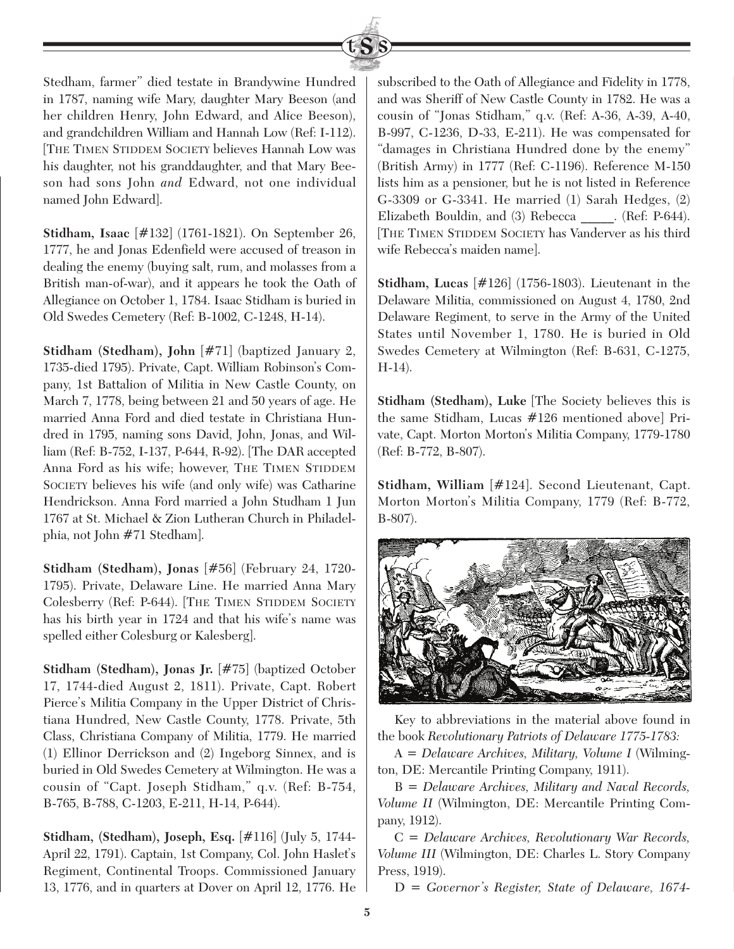

Stedham, farmer" died testate in Brandywine Hundred in 1787, naming wife Mary, daughter Mary Beeson (and her children Henry, John Edward, and Alice Beeson), and grandchildren William and Hannah Low (Ref: I-112). [THE TIMEN STIDDEM SOCIETY believes Hannah Low was his daughter, not his granddaughter, and that Mary Beeson had sons John *and* Edward, not one individual named John Edward].

**Stidham, Isaac** [#132] (1761-1821). On September 26, 1777, he and Jonas Edenfield were accused of treason in dealing the enemy (buying salt, rum, and molasses from a British man-of-war), and it appears he took the Oath of Allegiance on October 1, 1784. Isaac Stidham is buried in Old Swedes Cemetery (Ref: B-1002, C-1248, H-14).

**Stidham (Stedham), John** [#71] (baptized January 2, 1735-died 1795). Private, Capt. William Robinson's Company, 1st Battalion of Militia in New Castle County, on March 7, 1778, being between 21 and 50 years of age. He married Anna Ford and died testate in Christiana Hundred in 1795, naming sons David, John, Jonas, and William (Ref: B-752, I-137, P-644, R-92). [The DAR accepted Anna Ford as his wife; however, THE TIMEN STIDDEM SOCIETY believes his wife (and only wife) was Catharine Hendrickson. Anna Ford married a John Studham 1 Jun 1767 at St. Michael & Zion Lutheran Church in Philadelphia, not John #71 Stedham].

**Stidham (Stedham), Jonas** [#56] (February 24, 1720- 1795). Private, Delaware Line. He married Anna Mary Colesberry (Ref: P-644). [THE TIMEN STIDDEM SOCIETY has his birth year in 1724 and that his wife's name was spelled either Colesburg or Kalesberg].

**Stidham (Stedham), Jonas Jr.** [#75] (baptized October 17, 1744-died August 2, 1811). Private, Capt. Robert Pierce's Militia Company in the Upper District of Christiana Hundred, New Castle County, 1778. Private, 5th Class, Christiana Company of Militia, 1779. He married (1) Ellinor Derrickson and (2) Ingeborg Sinnex, and is buried in Old Swedes Cemetery at Wilmington. He was a cousin of "Capt. Joseph Stidham," q.v. (Ref: B-754, B-765, B-788, C-1203, E-211, H-14, P-644).

**Stidham, (Stedham), Joseph, Esq.** [#116] (July 5, 1744- April 22, 1791). Captain, 1st Company, Col. John Haslet's Regiment, Continental Troops. Commissioned January 13, 1776, and in quarters at Dover on April 12, 1776. He

subscribed to the Oath of Allegiance and Fidelity in 1778, and was Sheriff of New Castle County in 1782. He was a cousin of "Jonas Stidham," q.v. (Ref: A-36, A-39, A-40, B-997, C-1236, D-33, E-211). He was compensated for "damages in Christiana Hundred done by the enemy" (British Army) in 1777 (Ref: C-1196). Reference M-150 lists him as a pensioner, but he is not listed in Reference G-3309 or G-3341. He married (1) Sarah Hedges, (2) Elizabeth Bouldin, and (3) Rebecca \_\_\_\_\_. (Ref: P-644). [THE TIMEN STIDDEM SOCIETY has Vanderver as his third wife Rebecca's maiden name].

**Stidham, Lucas** [#126] (1756-1803). Lieutenant in the Delaware Militia, commissioned on August 4, 1780, 2nd Delaware Regiment, to serve in the Army of the United States until November 1, 1780. He is buried in Old Swedes Cemetery at Wilmington (Ref: B-631, C-1275, H-14).

**Stidham (Stedham), Luke** [The Society believes this is the same Stidham, Lucas #126 mentioned above] Private, Capt. Morton Morton's Militia Company, 1779-1780 (Ref: B-772, B-807).

**Stidham, William** [#124]. Second Lieutenant, Capt. Morton Morton's Militia Company, 1779 (Ref: B-772, B-807).



Key to abbreviations in the material above found in the book *Revolutionary Patriots of Delaware 1775-1783:*

A = *Delaware Archives, Military, Volume I* (Wilmington, DE: Mercantile Printing Company, 1911).

B = *Delaware Archives, Military and Naval Records, Volume II* (Wilmington, DE: Mercantile Printing Company, 1912).

C = *Delaware Archives, Revolutionary War Records, Volume III* (Wilmington, DE: Charles L. Story Company Press, 1919).

D = *Governor's Register, State of Delaware, 1674-*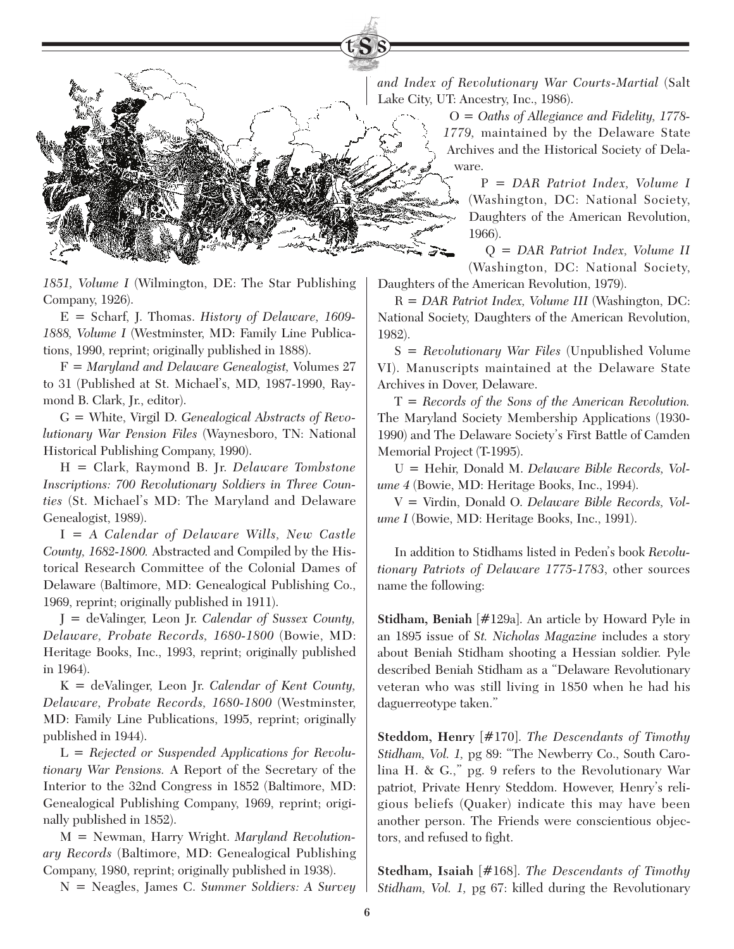*1851, Volume I* (Wilmington, DE: The Star Publishing Company, 1926).

E = Scharf, J. Thomas. *History of Delaware, 1609- 1888, Volume I* (Westminster, MD: Family Line Publications, 1990, reprint; originally published in 1888).

F = *Maryland and Delaware Genealogist,* Volumes 27 to 31 (Published at St. Michael's, MD, 1987-1990, Raymond B. Clark, Jr., editor).

G = White, Virgil D. *Genealogical Abstracts of Revolutionary War Pension Files* (Waynesboro, TN: National Historical Publishing Company, 1990).

H = Clark, Raymond B. Jr. *Delaware Tombstone Inscriptions: 700 Revolutionary Soldiers in Three Counties* (St. Michael's MD: The Maryland and Delaware Genealogist, 1989).

I = *A Calendar of Delaware Wills, New Castle County, 1682-1800.* Abstracted and Compiled by the Historical Research Committee of the Colonial Dames of Delaware (Baltimore, MD: Genealogical Publishing Co., 1969, reprint; originally published in 1911).

J = deValinger, Leon Jr. *Calendar of Sussex County, Delaware, Probate Records, 1680-1800* (Bowie, MD: Heritage Books, Inc., 1993, reprint; originally published in 1964).

K = deValinger, Leon Jr. *Calendar of Kent County, Delaware, Probate Records, 1680-1800* (Westminster, MD: Family Line Publications, 1995, reprint; originally published in 1944).

L = *Rejected or Suspended Applications for Revolutionary War Pensions.* A Report of the Secretary of the Interior to the 32nd Congress in 1852 (Baltimore, MD: Genealogical Publishing Company, 1969, reprint; originally published in 1852).

M = Newman, Harry Wright. *Maryland Revolutionary Records* (Baltimore, MD: Genealogical Publishing Company, 1980, reprint; originally published in 1938).

N = Neagles, James C. *Summer Soldiers: A Survey* 

*and Index of Revolutionary War Courts-Martial* (Salt Lake City, UT: Ancestry, Inc., 1986).

> O = *Oaths of Allegiance and Fidelity, 1778- 1779,* maintained by the Delaware State Archives and the Historical Society of Delaware.

> > P = *DAR Patriot Index, Volume I* (Washington, DC: National Society, Daughters of the American Revolution, 1966).

> > Q = *DAR Patriot Index, Volume II* (Washington, DC: National Society,

Daughters of the American Revolution, 1979).

R = *DAR Patriot Index, Volume III* (Washington, DC: National Society, Daughters of the American Revolution, 1982).

S = *Revolutionary War Files* (Unpublished Volume VI). Manuscripts maintained at the Delaware State Archives in Dover, Delaware.

T = *Records of the Sons of the American Revolution.* The Maryland Society Membership Applications (1930- 1990) and The Delaware Society's First Battle of Camden Memorial Project (T-1995).

U = Hehir, Donald M. *Delaware Bible Records, Volume 4* (Bowie, MD: Heritage Books, Inc., 1994).

V = Virdin, Donald O. *Delaware Bible Records, Volume I* (Bowie, MD: Heritage Books, Inc., 1991).

In addition to Stidhams listed in Peden's book *Revolutionary Patriots of Delaware 1775-1783*, other sources name the following:

**Stidham, Beniah** [#129a]. An article by Howard Pyle in an 1895 issue of *St. Nicholas Magazine* includes a story about Beniah Stidham shooting a Hessian soldier. Pyle described Beniah Stidham as a "Delaware Revolutionary veteran who was still living in 1850 when he had his daguerreotype taken."

**Steddom, Henry** [#170]. *The Descendants of Timothy Stidham, Vol. 1,* pg 89: "The Newberry Co., South Carolina H. & G.," pg. 9 refers to the Revolutionary War patriot, Private Henry Steddom. However, Henry's religious beliefs (Quaker) indicate this may have been another person. The Friends were conscientious objectors, and refused to fight.

**Stedham, Isaiah** [#168]. *The Descendants of Timothy Stidham, Vol. 1,* pg 67: killed during the Revolutionary